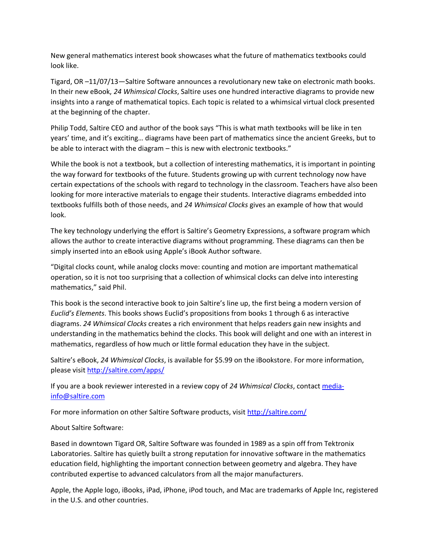New general mathematics interest book showcases what the future of mathematics textbooks could look like.

Tigard, OR –11/07/13—Saltire Software announces a revolutionary new take on electronic math books. In their new eBook, *24 Whimsical Clocks*, Saltire uses one hundred interactive diagrams to provide new insights into a range of mathematical topics. Each topic is related to a whimsical virtual clock presented at the beginning of the chapter.

Philip Todd, Saltire CEO and author of the book says "This is what math textbooks will be like in ten years' time, and it's exciting… diagrams have been part of mathematics since the ancient Greeks, but to be able to interact with the diagram – this is new with electronic textbooks."

While the book is not a textbook, but a collection of interesting mathematics, it is important in pointing the way forward for textbooks of the future. Students growing up with current technology now have certain expectations of the schools with regard to technology in the classroom. Teachers have also been looking for more interactive materials to engage their students. Interactive diagrams embedded into textbooks fulfills both of those needs, and *24 Whimsical Clocks* gives an example of how that would look.

The key technology underlying the effort is Saltire's Geometry Expressions, a software program which allows the author to create interactive diagrams without programming. These diagrams can then be simply inserted into an eBook using Apple's iBook Author software.

"Digital clocks count, while analog clocks move: counting and motion are important mathematical operation, so it is not too surprising that a collection of whimsical clocks can delve into interesting mathematics," said Phil.

This book is the second interactive book to join Saltire's line up, the first being a modern version of *Euclid's Elements*. This books shows Euclid's propositions from books 1 through 6 as interactive diagrams. *24 Whimsical Clocks* creates a rich environment that helps readers gain new insights and understanding in the mathematics behind the clocks. This book will delight and one with an interest in mathematics, regardless of how much or little formal education they have in the subject.

Saltire's eBook, *24 Whimsical Clocks*, is available for \$5.99 on the iBookstore. For more information, please visit<http://saltire.com/apps/>

If you are a book reviewer interested in a review copy of *24 Whimsical Clocks*, contac[t media](mailto:media-info@saltire.com)[info@saltire.com](mailto:media-info@saltire.com)

For more information on other Saltire Software products, visit<http://saltire.com/>

About Saltire Software:

Based in downtown Tigard OR, Saltire Software was founded in 1989 as a spin off from Tektronix Laboratories. Saltire has quietly built a strong reputation for innovative software in the mathematics education field, highlighting the important connection between geometry and algebra. They have contributed expertise to advanced calculators from all the major manufacturers.

Apple, the Apple logo, iBooks, iPad, iPhone, iPod touch, and Mac are trademarks of Apple Inc, registered in the U.S. and other countries.